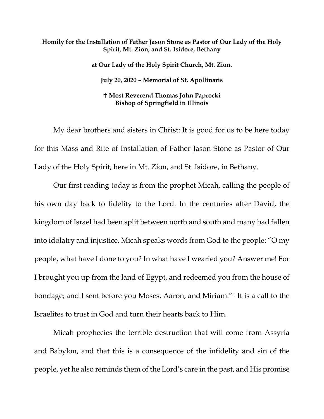## **Homily for the Installation of Father Jason Stone as Pastor of Our Lady of the Holy Spirit, Mt. Zion, and St. Isidore, Bethany**

**at Our Lady of the Holy Spirit Church, Mt. Zion. July 20, 2020 – Memorial of St. Apollinaris Most Reverend Thomas John Paprocki Bishop of Springfield in Illinois**

My dear brothers and sisters in Christ: It is good for us to be here today for this Mass and Rite of Installation of Father Jason Stone as Pastor of Our Lady of the Holy Spirit, here in Mt. Zion, and St. Isidore, in Bethany.

Our first reading today is from the prophet Micah, calling the people of his own day back to fidelity to the Lord. In the centuries after David, the kingdom of Israel had been split between north and south and many had fallen into idolatry and injustice. Micah speaks words from God to the people: "O my people, what have I done to you? In what have I wearied you? Answer me! For I brought you up from the land of Egypt, and redeemed you from the house of bondage; and I sent before you Moses, Aaron, and Miriam."[1](#page-5-0) It is a call to the Israelites to trust in God and turn their hearts back to Him.

Micah prophecies the terrible destruction that will come from Assyria and Babylon, and that this is a consequence of the infidelity and sin of the people, yet he also reminds them of the Lord's care in the past, and His promise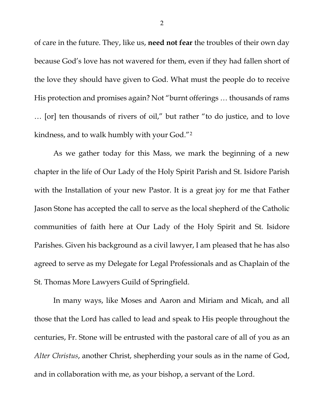of care in the future. They, like us, **need not fear** the troubles of their own day because God's love has not wavered for them, even if they had fallen short of the love they should have given to God. What must the people do to receive His protection and promises again? Not "burnt offerings … thousands of rams … [or] ten thousands of rivers of oil," but rather "to do justice, and to love kindness, and to walk humbly with your God."[2](#page-5-1)

As we gather today for this Mass, we mark the beginning of a new chapter in the life of Our Lady of the Holy Spirit Parish and St. Isidore Parish with the Installation of your new Pastor. It is a great joy for me that Father Jason Stone has accepted the call to serve as the local shepherd of the Catholic communities of faith here at Our Lady of the Holy Spirit and St. Isidore Parishes. Given his background as a civil lawyer, I am pleased that he has also agreed to serve as my Delegate for Legal Professionals and as Chaplain of the St. Thomas More Lawyers Guild of Springfield.

In many ways, like Moses and Aaron and Miriam and Micah, and all those that the Lord has called to lead and speak to His people throughout the centuries, Fr. Stone will be entrusted with the pastoral care of all of you as an *Alter Christus*, another Christ, shepherding your souls as in the name of God, and in collaboration with me, as your bishop, a servant of the Lord.

2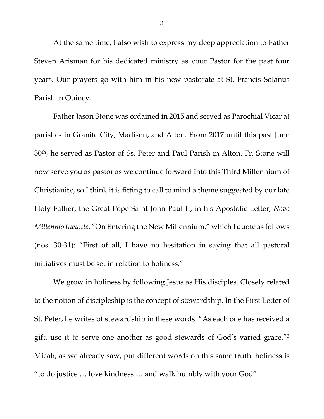At the same time, I also wish to express my deep appreciation to Father Steven Arisman for his dedicated ministry as your Pastor for the past four years. Our prayers go with him in his new pastorate at St. Francis Solanus Parish in Quincy.

Father Jason Stone was ordained in 2015 and served as Parochial Vicar at parishes in Granite City, Madison, and Alton. From 2017 until this past June 30th, he served as Pastor of Ss. Peter and Paul Parish in Alton. Fr. Stone will now serve you as pastor as we continue forward into this Third Millennium of Christianity, so I think it is fitting to call to mind a theme suggested by our late Holy Father, the Great Pope Saint John Paul II, in his Apostolic Letter, *Novo Millennio Ineunte*, "On Entering the New Millennium," which I quote as follows (nos. 30-31): "First of all, I have no hesitation in saying that all pastoral initiatives must be set in relation to holiness."

We grow in holiness by following Jesus as His disciples. Closely related to the notion of discipleship is the concept of stewardship. In the First Letter of St. Peter, he writes of stewardship in these words: "As each one has received a gift, use it to serve one another as good stewards of God's varied grace."[3](#page-5-2) Micah, as we already saw, put different words on this same truth: holiness is "to do justice … love kindness … and walk humbly with your God".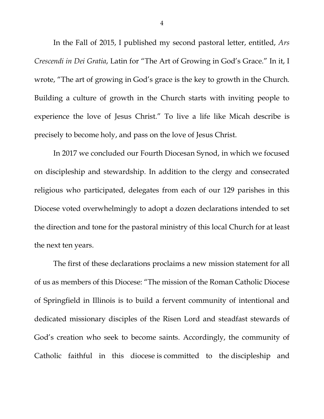In the Fall of 2015, I published my second pastoral letter, entitled, *Ars Crescendi in Dei Gratia*, Latin for "The Art of Growing in God's Grace." In it, I wrote, "The art of growing in God's grace is the key to growth in the Church. Building a culture of growth in the Church starts with inviting people to experience the love of Jesus Christ." To live a life like Micah describe is precisely to become holy, and pass on the love of Jesus Christ.

In 2017 we concluded our Fourth Diocesan Synod, in which we focused on discipleship and stewardship. In addition to the clergy and consecrated religious who participated, delegates from each of our 129 parishes in this Diocese voted overwhelmingly to adopt a dozen declarations intended to set the direction and tone for the pastoral ministry of this local Church for at least the next ten years.

The first of these declarations proclaims a new mission statement for all of us as members of this Diocese: "The mission of the Roman Catholic Diocese of Springfield in Illinois is to build a fervent community of intentional and dedicated missionary disciples of the Risen Lord and steadfast stewards of God's creation who seek to become saints. Accordingly, the community of Catholic faithful in this diocese is committed to the discipleship and

4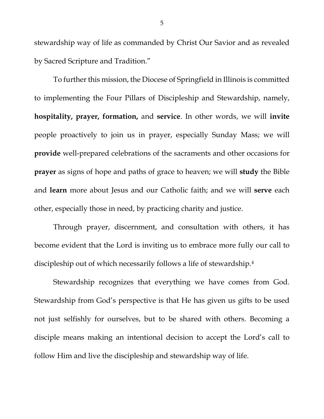stewardship way of life as commanded by Christ Our Savior and as revealed by Sacred Scripture and Tradition."

To further this mission, the Diocese of Springfield in Illinois is committed to implementing the Four Pillars of Discipleship and Stewardship, namely, **hospitality, prayer, formation,** and **service**. In other words, we will **invite** people proactively to join us in prayer, especially Sunday Mass; we will **provide** well-prepared celebrations of the sacraments and other occasions for **prayer** as signs of hope and paths of grace to heaven; we will **study** the Bible and **learn** more about Jesus and our Catholic faith; and we will **serve** each other, especially those in need, by practicing charity and justice.

Through prayer, discernment, and consultation with others, it has become evident that the Lord is inviting us to embrace more fully our call to discipleship out of which necessarily follows a life of stewardship[.4](#page-5-3)

Stewardship recognizes that everything we have comes from God. Stewardship from God's perspective is that He has given us gifts to be used not just selfishly for ourselves, but to be shared with others. Becoming a disciple means making an intentional decision to accept the Lord's call to follow Him and live the discipleship and stewardship way of life.